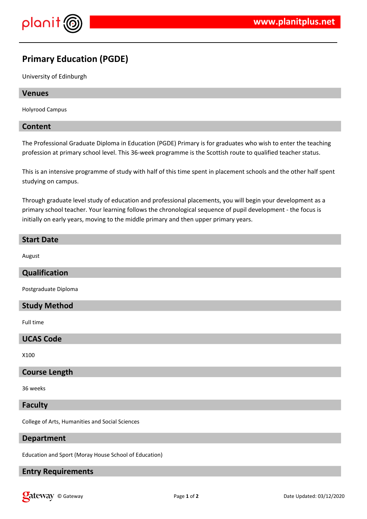

## **Primary Education (PGDE)**

University of Edinburgh

#### **Venues**

Holyrood Campus

#### **Content**

The Professional Graduate Diploma in Education (PGDE) Primary is for graduates who wish to enter the teaching profession at primary school level. This 36-week programme is the Scottish route to qualified teacher status.

This is an intensive programme of study with half of this time spent in placement schools and the other half spent studying on campus.

Through graduate level study of education and professional placements, you will begin your development as a primary school teacher. Your learning follows the chronological sequence of pupil development - the focus is initially on early years, moving to the middle primary and then upper primary years.

# **Start Date**

August

#### **Qualification**

Postgraduate Diploma

#### **Study Method**

Full time

#### **UCAS Code**

X100

#### **Course Length**

36 weeks

#### **Faculty**

College of Arts, Humanities and Social Sciences

#### **Department**

Education and Sport (Moray House School of Education)

### **Entry Requirements**

**Calcistary** © Gateway **Page 1** of 2 Date Updated: 03/12/2020